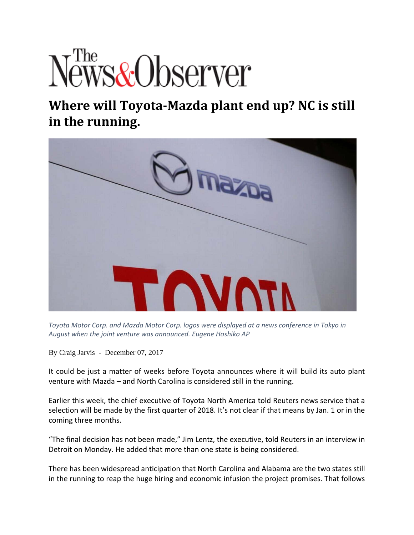## *Free*<br>Jews&Observer

## **Where will Toyota‐Mazda plant end up? NC is still in the running.**



*Toyota Motor Corp. and Mazda Motor Corp. logos were displayed at a news conference in Tokyo in August when the joint venture was announced. Eugene Hoshiko AP*

By Craig Jarvis - December 07, 2017

It could be just a matter of weeks before Toyota announces where it will build its auto plant venture with Mazda – and North Carolina is considered still in the running.

Earlier this week, the chief executive of Toyota North America told Reuters news service that a selection will be made by the first quarter of 2018. It's not clear if that means by Jan. 1 or in the coming three months.

"The final decision has not been made," Jim Lentz, the executive, told Reuters in an interview in Detroit on Monday. He added that more than one state is being considered.

There has been widespread anticipation that North Carolina and Alabama are the two states still in the running to reap the huge hiring and economic infusion the project promises. That follows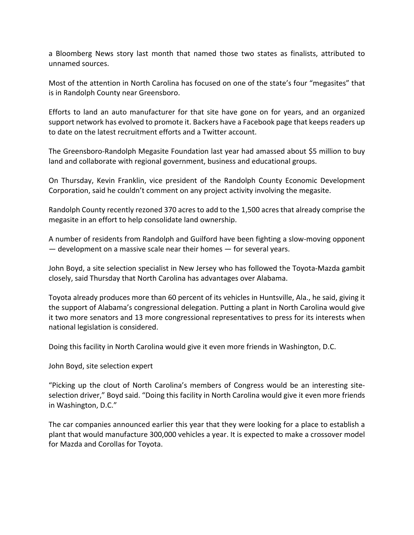a Bloomberg News story last month that named those two states as finalists, attributed to unnamed sources.

Most of the attention in North Carolina has focused on one of the state's four "megasites" that is in Randolph County near Greensboro.

Efforts to land an auto manufacturer for that site have gone on for years, and an organized support network has evolved to promote it. Backers have a Facebook page that keeps readers up to date on the latest recruitment efforts and a Twitter account.

The Greensboro‐Randolph Megasite Foundation last year had amassed about \$5 million to buy land and collaborate with regional government, business and educational groups.

On Thursday, Kevin Franklin, vice president of the Randolph County Economic Development Corporation, said he couldn't comment on any project activity involving the megasite.

Randolph County recently rezoned 370 acres to add to the 1,500 acres that already comprise the megasite in an effort to help consolidate land ownership.

A number of residents from Randolph and Guilford have been fighting a slow‐moving opponent — development on a massive scale near their homes — for several years.

John Boyd, a site selection specialist in New Jersey who has followed the Toyota‐Mazda gambit closely, said Thursday that North Carolina has advantages over Alabama.

Toyota already produces more than 60 percent of its vehicles in Huntsville, Ala., he said, giving it the support of Alabama's congressional delegation. Putting a plant in North Carolina would give it two more senators and 13 more congressional representatives to press for its interests when national legislation is considered.

Doing this facility in North Carolina would give it even more friends in Washington, D.C.

John Boyd, site selection expert

"Picking up the clout of North Carolina's members of Congress would be an interesting site‐ selection driver," Boyd said. "Doing this facility in North Carolina would give it even more friends in Washington, D.C."

The car companies announced earlier this year that they were looking for a place to establish a plant that would manufacture 300,000 vehicles a year. It is expected to make a crossover model for Mazda and Corollas for Toyota.